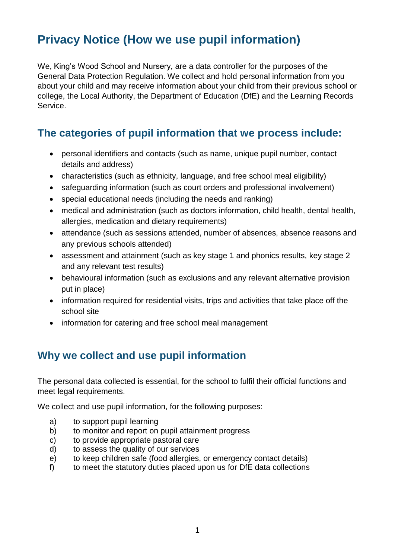# **Privacy Notice (How we use pupil information)**

We, King's Wood School and Nursery, are a data controller for the purposes of the General Data Protection Regulation. We collect and hold personal information from you about your child and may receive information about your child from their previous school or college, the Local Authority, the Department of Education (DfE) and the Learning Records Service.

## **The categories of pupil information that we process include:**

- personal identifiers and contacts (such as name, unique pupil number, contact details and address)
- characteristics (such as ethnicity, language, and free school meal eligibility)
- safeguarding information (such as court orders and professional involvement)
- special educational needs (including the needs and ranking)
- medical and administration (such as doctors information, child health, dental health, allergies, medication and dietary requirements)
- attendance (such as sessions attended, number of absences, absence reasons and any previous schools attended)
- assessment and attainment (such as key stage 1 and phonics results, key stage 2 and any relevant test results)
- behavioural information (such as exclusions and any relevant alternative provision put in place)
- information required for residential visits, trips and activities that take place off the school site
- information for catering and free school meal management

## **Why we collect and use pupil information**

The personal data collected is essential, for the school to fulfil their official functions and meet legal requirements.

We collect and use pupil information, for the following purposes:

- a) to support pupil learning
- b) to monitor and report on pupil attainment progress
- c) to provide appropriate pastoral care
- d) to assess the quality of our services
- e) to keep children safe (food allergies, or emergency contact details)
- f) to meet the statutory duties placed upon us for DfE data collections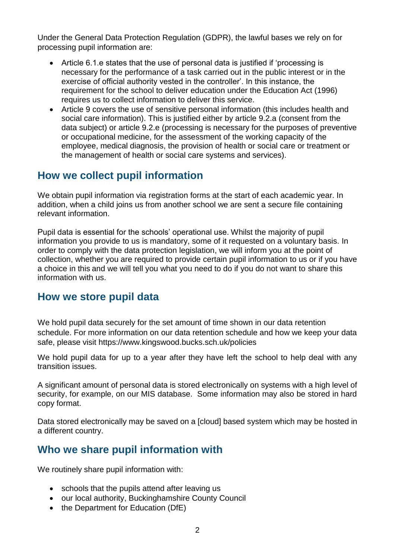Under the General Data Protection Regulation (GDPR), the lawful bases we rely on for processing pupil information are:

- Article 6.1.e states that the use of personal data is justified if 'processing is necessary for the performance of a task carried out in the public interest or in the exercise of official authority vested in the controller'. In this instance, the requirement for the school to deliver education under the Education Act (1996) requires us to collect information to deliver this service.
- Article 9 covers the use of sensitive personal information (this includes health and social care information). This is justified either by article 9.2.a (consent from the data subject) or article 9.2.e (processing is necessary for the purposes of preventive or occupational medicine, for the assessment of the working capacity of the employee, medical diagnosis, the provision of health or social care or treatment or the management of health or social care systems and services).

## **How we collect pupil information**

We obtain pupil information via registration forms at the start of each academic year. In addition, when a child joins us from another school we are sent a secure file containing relevant information.

Pupil data is essential for the schools' operational use. Whilst the majority of pupil information you provide to us is mandatory, some of it requested on a voluntary basis. In order to comply with the data protection legislation, we will inform you at the point of collection, whether you are required to provide certain pupil information to us or if you have a choice in this and we will tell you what you need to do if you do not want to share this information with us.

### **How we store pupil data**

We hold pupil data securely for the set amount of time shown in our data retention schedule. For more information on our data retention schedule and how we keep your data safe, please visit https://www.kingswood.bucks.sch.uk/policies

We hold pupil data for up to a year after they have left the school to help deal with any transition issues.

A significant amount of personal data is stored electronically on systems with a high level of security, for example, on our MIS database. Some information may also be stored in hard copy format.

Data stored electronically may be saved on a [cloud] based system which may be hosted in a different country.

## **Who we share pupil information with**

We routinely share pupil information with:

- schools that the pupils attend after leaving us
- our local authority, Buckinghamshire County Council
- the Department for Education (DfE)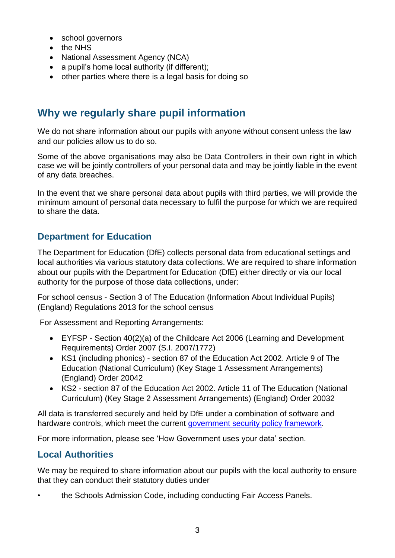- school governors
- the NHS
- National Assessment Agency (NCA)
- a pupil's home local authority (if different);
- other parties where there is a legal basis for doing so

## **Why we regularly share pupil information**

We do not share information about our pupils with anyone without consent unless the law and our policies allow us to do so.

Some of the above organisations may also be Data Controllers in their own right in which case we will be jointly controllers of your personal data and may be jointly liable in the event of any data breaches.

In the event that we share personal data about pupils with third parties, we will provide the minimum amount of personal data necessary to fulfil the purpose for which we are required to share the data.

### **Department for Education**

The Department for Education (DfE) collects personal data from educational settings and local authorities via various statutory data collections. We are required to share information about our pupils with the Department for Education (DfE) either directly or via our local authority for the purpose of those data collections, under:

For school census - Section 3 of The Education (Information About Individual Pupils) (England) Regulations 2013 for the school census

For Assessment and Reporting Arrangements:

- EYFSP Section 40(2)(a) of the Childcare Act 2006 (Learning and Development Requirements) Order 2007 (S.I. 2007/1772)
- KS1 (including phonics) section 87 of the Education Act 2002. Article 9 of The Education (National Curriculum) (Key Stage 1 Assessment Arrangements) (England) Order 20042
- KS2 section 87 of the Education Act 2002. Article 11 of The Education (National Curriculum) (Key Stage 2 Assessment Arrangements) (England) Order 20032

All data is transferred securely and held by DfE under a combination of software and hardware controls, which meet the current [government security policy framework.](https://www.gov.uk/government/publications/security-policy-framework)

For more information, please see 'How Government uses your data' section.

### **Local Authorities**

We may be required to share information about our pupils with the local authority to ensure that they can conduct their statutory duties under

• the Schools Admission Code, including conducting Fair Access Panels.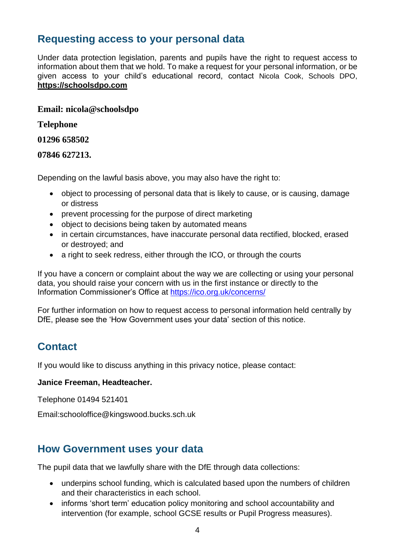### **Requesting access to your personal data**

Under data protection legislation, parents and pupils have the right to request access to information about them that we hold. To make a request for your personal information, or be given access to your child's educational record, contact Nicola Cook, Schools DPO, **[https://schoolsdpo.com](https://schoolsdpo.com/)**

#### **Email: nicola@schoolsdpo**

**Telephone**

#### **01296 658502**

#### **07846 627213.**

Depending on the lawful basis above, you may also have the right to:

- object to processing of personal data that is likely to cause, or is causing, damage or distress
- prevent processing for the purpose of direct marketing
- object to decisions being taken by automated means
- in certain circumstances, have inaccurate personal data rectified, blocked, erased or destroyed; and
- a right to seek redress, either through the ICO, or through the courts

If you have a concern or complaint about the way we are collecting or using your personal data, you should raise your concern with us in the first instance or directly to the Information Commissioner's Office at <https://ico.org.uk/concerns/>

For further information on how to request access to personal information held centrally by DfE, please see the 'How Government uses your data' section of this notice.

## **Contact**

If you would like to discuss anything in this privacy notice, please contact:

#### **Janice Freeman, Headteacher.**

Telephone 01494 521401

Email:schooloffice@kingswood.bucks.sch.uk

### **How Government uses your data**

The pupil data that we lawfully share with the DfE through data collections:

- underpins school funding, which is calculated based upon the numbers of children and their characteristics in each school.
- informs 'short term' education policy monitoring and school accountability and intervention (for example, school GCSE results or Pupil Progress measures).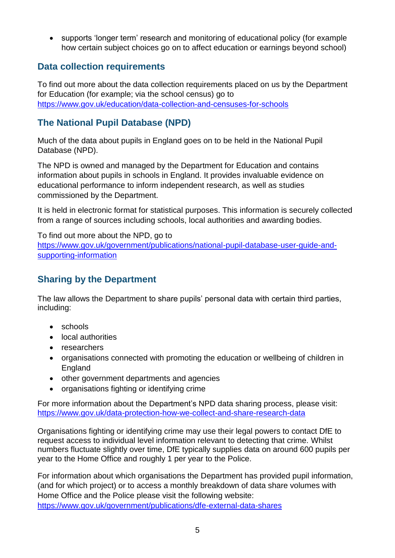supports 'longer term' research and monitoring of educational policy (for example how certain subject choices go on to affect education or earnings beyond school)

### **Data collection requirements**

To find out more about the data collection requirements placed on us by the Department for Education (for example; via the school census) go to <https://www.gov.uk/education/data-collection-and-censuses-for-schools>

### **The National Pupil Database (NPD)**

Much of the data about pupils in England goes on to be held in the National Pupil Database (NPD).

The NPD is owned and managed by the Department for Education and contains information about pupils in schools in England. It provides invaluable evidence on educational performance to inform independent research, as well as studies commissioned by the Department.

It is held in electronic format for statistical purposes. This information is securely collected from a range of sources including schools, local authorities and awarding bodies.

To find out more about the NPD, go to [https://www.gov.uk/government/publications/national-pupil-database-user-guide-and](https://www.gov.uk/government/publications/national-pupil-database-user-guide-and-supporting-information)[supporting-information](https://www.gov.uk/government/publications/national-pupil-database-user-guide-and-supporting-information)

### **Sharing by the Department**

The law allows the Department to share pupils' personal data with certain third parties, including:

- schools
- local authorities
- researchers
- organisations connected with promoting the education or wellbeing of children in England
- other government departments and agencies
- organisations fighting or identifying crime

For more information about the Department's NPD data sharing process, please visit: <https://www.gov.uk/data-protection-how-we-collect-and-share-research-data>

Organisations fighting or identifying crime may use their legal powers to contact DfE to request access to individual level information relevant to detecting that crime. Whilst numbers fluctuate slightly over time, DfE typically supplies data on around 600 pupils per year to the Home Office and roughly 1 per year to the Police.

For information about which organisations the Department has provided pupil information, (and for which project) or to access a monthly breakdown of data share volumes with Home Office and the Police please visit the following website: <https://www.gov.uk/government/publications/dfe-external-data-shares>